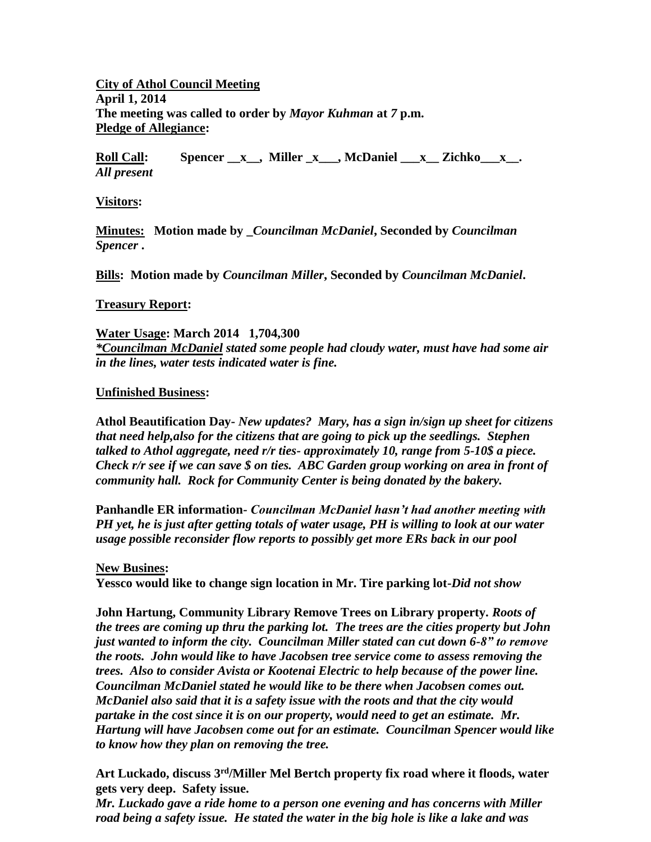**City of Athol Council Meeting April 1, 2014 The meeting was called to order by** *Mayor Kuhman* **at** *7* **p.m. Pledge of Allegiance:**

**Roll Call: Spencer \_\_x\_\_, Miller \_x\_\_\_, McDaniel \_\_\_x\_\_ Zichko\_\_\_x\_\_.** *All present*

**Visitors:**

**Minutes: Motion made by \_***Councilman McDaniel***, Seconded by** *Councilman Spencer* **.**

**Bills: Motion made by** *Councilman Miller***, Seconded by** *Councilman McDaniel***.**

## **Treasury Report:**

**Water Usage: March 2014 1,704,300** 

*\*Councilman McDaniel stated some people had cloudy water, must have had some air in the lines, water tests indicated water is fine.*

## **Unfinished Business:**

**Athol Beautification Day-** *New updates? Mary, has a sign in/sign up sheet for citizens that need help,also for the citizens that are going to pick up the seedlings. Stephen talked to Athol aggregate, need r/r ties- approximately 10, range from 5-10\$ a piece. Check r/r see if we can save \$ on ties. ABC Garden group working on area in front of community hall. Rock for Community Center is being donated by the bakery.*

**Panhandle ER information***- Councilman McDaniel hasn't had another meeting with PH yet, he is just after getting totals of water usage, PH is willing to look at our water usage possible reconsider flow reports to possibly get more ERs back in our pool*

## **New Busines:**

**Yessco would like to change sign location in Mr. Tire parking lot-***Did not show*

**John Hartung, Community Library Remove Trees on Library property.** *Roots of the trees are coming up thru the parking lot. The trees are the cities property but John just wanted to inform the city. Councilman Miller stated can cut down 6-8" to remove the roots. John would like to have Jacobsen tree service come to assess removing the trees. Also to consider Avista or Kootenai Electric to help because of the power line. Councilman McDaniel stated he would like to be there when Jacobsen comes out. McDaniel also said that it is a safety issue with the roots and that the city would partake in the cost since it is on our property, would need to get an estimate. Mr. Hartung will have Jacobsen come out for an estimate. Councilman Spencer would like to know how they plan on removing the tree.*

**Art Luckado, discuss 3rd/Miller Mel Bertch property fix road where it floods, water gets very deep. Safety issue.**

*Mr. Luckado gave a ride home to a person one evening and has concerns with Miller road being a safety issue. He stated the water in the big hole is like a lake and was*